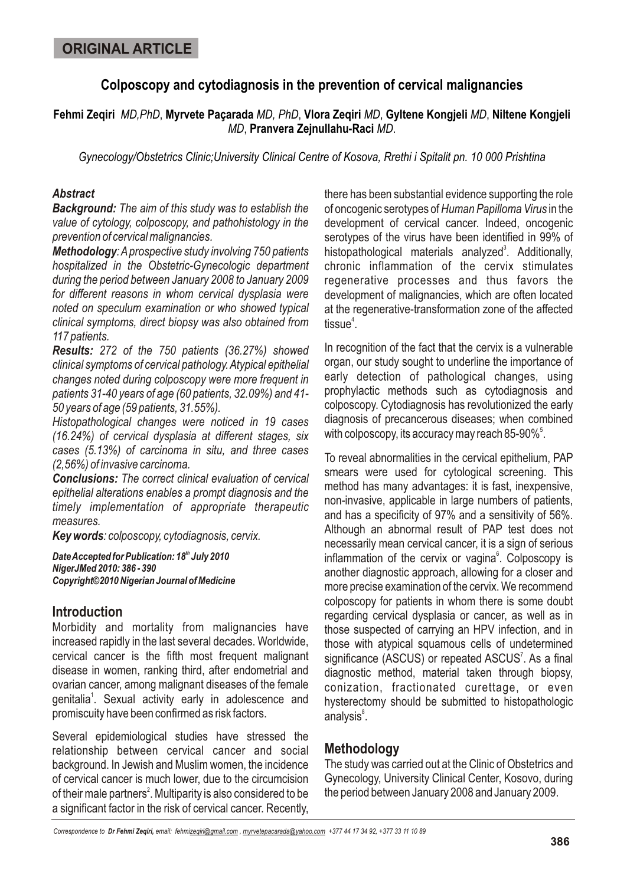# **Colposcopy and cytodiagnosis in the prevention of cervical malignancies**

## **Fehmi Zeqiri** *MD,PhD*, **Myrvete Paçarada** *MD, PhD*, **Vlora Zeqiri** *MD*, **Gyltene Kongjeli** *MD*, **Niltene Kongjeli** *MD*, **Pranvera Zejnullahu-Raci** *MD*.

*Gynecology/Obstetrics Clinic;University Clinical Centre of Kosova, Rrethi i Spitalit pn. 10 000 Prishtina*

### *Abstract*

*Background: The aim of this study was to establish the value of cytology, colposcopy, and pathohistology in the prevention of cervical malignancies.*

*Methodology: A prospective study involving 750 patients hospitalized in the Obstetric-Gynecologic department during the period between January 2008 to January 2009 for different reasons in whom cervical dysplasia were noted on speculum examination or who showed typical clinical symptoms, direct biopsy was also obtained from 117 patients.*

*Results: 272 of the 750 patients (36.27%) showed clinical symptoms of cervical pathology. Atypical epithelial changes noted during colposcopy were more frequent in patients 31-40 years of age (60 patients, 32.09%) and 41- 50 years of age (59 patients, 31.55%).*

*Histopathological changes were noticed in 19 cases (16.24%) of cervical dysplasia at different stages, six cases (5.13%) of carcinoma in situ, and three cases (2,56%) of invasive carcinoma.*

*Conclusions: The correct clinical evaluation of cervical epithelial alterations enables a prompt diagnosis and the timely implementation of appropriate therapeutic measures.*

*Key words: colposcopy, cytodiagnosis, cervix.*

**Date Accepted for Publication: 18<sup>th</sup> July 2010** *NigerJMed 2010: 386 - 390 Copyright©2010 Nigerian Journal of Medicine*

## **Introduction**

Morbidity and mortality from malignancies have increased rapidly in the last several decades. Worldwide, cervical cancer is the fifth most frequent malignant disease in women, ranking third, after endometrial and ovarian cancer, among malignant diseases of the female genitalia<sup>1</sup>. Sexual activity early in adolescence and promiscuity have been confirmed as risk factors.

Several epidemiological studies have stressed the relationship between cervical cancer and social background. In Jewish and Muslim women, the incidence of cervical cancer is much lower, due to the circumcision of their male partners<sup>2</sup>. Multiparity is also considered to be a significant factor in the risk of cervical cancer. Recently,

there has been substantial evidence supporting the role of oncogenic serotypes of *Human Papilloma Virus* in the development of cervical cancer. Indeed, oncogenic serotypes of the virus have been identified in 99% of histopathological materials analyzed<sup>3</sup>. Additionally, chronic inflammation of the cervix stimulates regenerative processes and thus favors the development of malignancies, which are often located at the regenerative-transformation zone of the affected tissue<sup>4</sup>.

In recognition of the fact that the cervix is a vulnerable organ, our study sought to underline the importance of early detection of pathological changes, using prophylactic methods such as cytodiagnosis and colposcopy. Cytodiagnosis has revolutionized the early diagnosis of precancerous diseases; when combined with colposcopy, its accuracy may reach 85-90% $^{\circ}$ .

To reveal abnormalities in the cervical epithelium, PAP smears were used for cytological screening. This method has many advantages: it is fast, inexpensive, non-invasive, applicable in large numbers of patients, and has a specificity of 97% and a sensitivity of 56%. Although an abnormal result of PAP test does not necessarily mean cervical cancer, it is a sign of serious inflammation of the cervix or vagina<sup>6</sup>. Colposcopy is another diagnostic approach, allowing for a closer and more precise examination of the cervix. We recommend colposcopy for patients in whom there is some doubt regarding cervical dysplasia or cancer, as well as in those suspected of carrying an HPV infection, and in those with atypical squamous cells of undetermined significance (ASCUS) or repeated ASCUS<sup>7</sup>. As a final diagnostic method, material taken through biopsy, conization, fractionated curettage, or even hysterectomy should be submitted to histopathologic analysis<sup>8</sup>.

# **Methodology**

The study was carried out at the Clinic of Obstetrics and Gynecology, University Clinical Center, Kosovo, during the period between January 2008 and January 2009.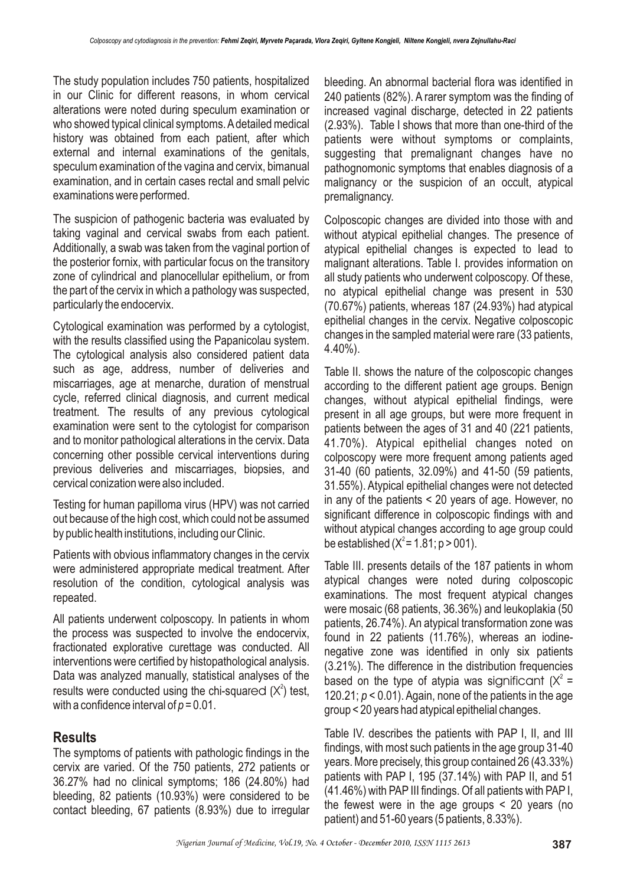The study population includes 750 patients, hospitalized in our Clinic for different reasons, in whom cervical alterations were noted during speculum examination or who showed typical clinical symptoms. A detailed medical history was obtained from each patient, after which external and internal examinations of the genitals, speculum examination of the vagina and cervix, bimanual examination, and in certain cases rectal and small pelvic examinations were performed.

The suspicion of pathogenic bacteria was evaluated by taking vaginal and cervical swabs from each patient. Additionally, a swab was taken from the vaginal portion of the posterior fornix, with particular focus on the transitory zone of cylindrical and planocellular epithelium, or from the part of the cervix in which a pathology was suspected, particularly the endocervix.

Cytological examination was performed by a cytologist, with the results classified using the Papanicolau system. The cytological analysis also considered patient data such as age, address, number of deliveries and miscarriages, age at menarche, duration of menstrual cycle, referred clinical diagnosis, and current medical treatment. The results of any previous cytological examination were sent to the cytologist for comparison and to monitor pathological alterations in the cervix. Data concerning other possible cervical interventions during previous deliveries and miscarriages, biopsies, and cervical conization were also included.

Testing for human papilloma virus (HPV) was not carried out because of the high cost, which could not be assumed by public health institutions, including our Clinic.

Patients with obvious inflammatory changes in the cervix were administered appropriate medical treatment. After resolution of the condition, cytological analysis was repeated.

All patients underwent colposcopy. In patients in whom the process was suspected to involve the endocervix, fractionated explorative curettage was conducted. All interventions were certified by histopathological analysis. Data was analyzed manually, statistical analyses of the results were conducted using the chi-squared  $(X^2)$  test, with a confidence interval of  $p = 0.01$ .

## **Results**

The symptoms of patients with pathologic findings in the cervix are varied. Of the 750 patients, 272 patients or 36.27% had no clinical symptoms; 186 (24.80%) had bleeding, 82 patients (10.93%) were considered to be contact bleeding, 67 patients (8.93%) due to irregular bleeding. An abnormal bacterial flora was identified in 240 patients (82%). A rarer symptom was the finding of increased vaginal discharge, detected in 22 patients (2.93%). Table I shows that more than one-third of the patients were without symptoms or complaints, suggesting that premalignant changes have no pathognomonic symptoms that enables diagnosis of a malignancy or the suspicion of an occult, atypical premalignancy.

Colposcopic changes are divided into those with and without atypical epithelial changes. The presence of atypical epithelial changes is expected to lead to malignant alterations. Table I. provides information on all study patients who underwent colposcopy. Of these, no atypical epithelial change was present in 530 (70.67%) patients, whereas 187 (24.93%) had atypical epithelial changes in the cervix. Negative colposcopic changes in the sampled material were rare (33 patients, 4.40%).

Table II. shows the nature of the colposcopic changes according to the different patient age groups. Benign changes, without atypical epithelial findings, were present in all age groups, but were more frequent in patients between the ages of 31 and 40 (221 patients, 41.70%). Atypical epithelial changes noted on colposcopy were more frequent among patients aged 31-40 (60 patients, 32.09%) and 41-50 (59 patients, 31.55%). Atypical epithelial changes were not detected in any of the patients < 20 years of age. However, no significant difference in colposcopic findings with and without atypical changes according to age group could be established ( $X^2$  = 1.81; p > 001).

Table III. presents details of the 187 patients in whom atypical changes were noted during colposcopic examinations. The most frequent atypical changes were mosaic (68 patients, 36.36%) and leukoplakia (50 patients, 26.74%). An atypical transformation zone was found in 22 patients (11.76%), whereas an iodinenegative zone was identified in only six patients (3.21%). The difference in the distribution frequencies based on the type of atypia was significant  $(X^2 =$ 120.21; *p* < 0.01). Again, none of the patients in the age group < 20 years had atypical epithelial changes.

Table IV. describes the patients with PAP I, II, and III findings, with most such patients in the age group 31-40 years. More precisely, this group contained 26 (43.33%) patients with PAP I, 195 (37.14%) with PAP II, and 51 (41.46%) with PAP III findings. Of all patients with PAP I, the fewest were in the age groups < 20 years (no patient) and 51-60 years (5 patients, 8.33%).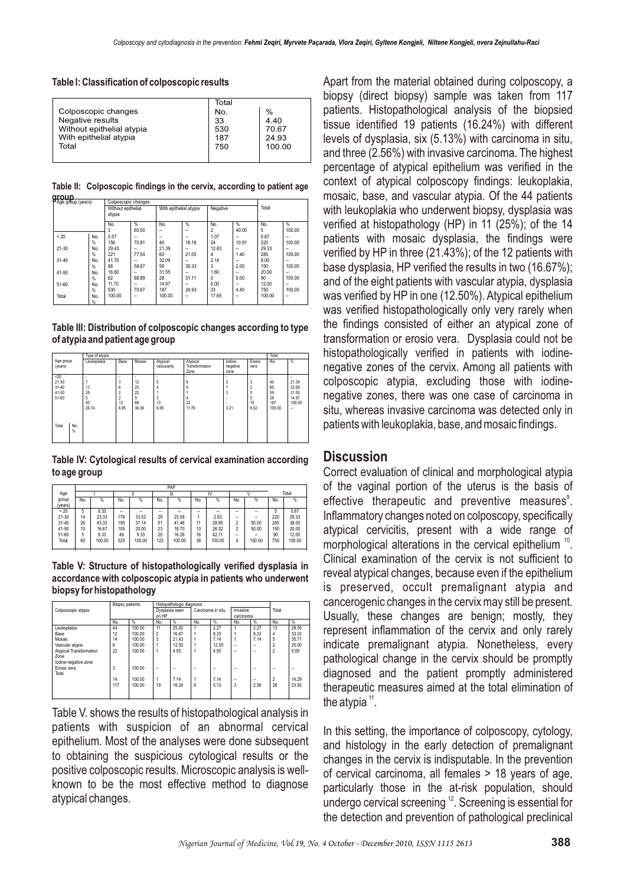**Table I: Classification of colposcopic results**

|                           | Total |        |
|---------------------------|-------|--------|
| Colposcopic changes       | No.   | $\%$   |
| Negative results          | 33    | 4.40   |
| Without epithelial atypia | 530   | 70.67  |
| With epithelial atypia    | 187   | 24.93  |
| Total                     | 750   | 100.00 |
|                           |       |        |

**Table II: Colposcopic findings in the cervix, according to patient age group**

| Age group (years) |               | Colposcopic changes          |               |        |                        |                |          |        |               |  |  |
|-------------------|---------------|------------------------------|---------------|--------|------------------------|----------------|----------|--------|---------------|--|--|
|                   |               | Without epithelial<br>atypia |               |        | With epithelial atypia |                | Negative |        | Total         |  |  |
|                   |               | No.                          | $\frac{9}{6}$ | No.    | %                      | No.            | %        | No.    | $\frac{9}{6}$ |  |  |
|                   |               | 3                            | 60.00         | --     |                        | $\overline{2}$ | 40.00    | 5      | 100.00        |  |  |
| < 20              | No.           | 0.57                         |               | --     | -                      | 1.07           | -        | 0.67   | --            |  |  |
|                   | $\%$          | 156                          | 70.91         | 40     | 18.18                  | 24             | 10.91    | 220    | 100.00        |  |  |
| 21-30             | No.           | 29.43                        |               | 21.39  |                        | 12.83          |          | 29.33  | --            |  |  |
|                   | $\%$          | 221                          | 77.54         | 60     | 21.05                  | 4              | 1.40     | 285    | 100.00        |  |  |
| $31 - 40$         | No.           | 41.70                        |               | 32.09  |                        | 2.14           |          | 8.00   |               |  |  |
|                   | $\frac{9}{6}$ | 88                           | 58.67         | 59     | 39.33                  | 3              | 2.00     | 150    | 100.00        |  |  |
| 41-50             | No.           | 16.60                        |               | 31.55  |                        | 1.60           |          | 20.00  | --            |  |  |
|                   | $\frac{9}{6}$ | 62                           | 68.89         | 28     | 31.11                  | 0              | 0.00     | 90     | 100.00        |  |  |
| 51-60             | No.           | 11.70                        |               | 14.97  |                        | 0.00           |          | 12.00  | --            |  |  |
|                   | $\frac{9}{6}$ | 530                          | 70.67         | 187    | 24.93                  | 33             | 4.40     | 750    | 100.00        |  |  |
| Total             | No.           | 100.00                       | --            | 100.00 | --                     | 17.65          | --       | 100.00 | --            |  |  |
|                   | $\%$          |                              |               |        |                        |                |          |        |               |  |  |

**Table III: Distribution of colposcopic changes according to type of atypia and patient age group**

|              | Type of atypia |                |         |             |                        |                  |                |         |            |  |
|--------------|----------------|----------------|---------|-------------|------------------------|------------------|----------------|---------|------------|--|
| Age group    | Leukoplakia    | Base           | Mosaic  | Atypical    | Atypical               | lodine-          | Erosio         | No.     | %          |  |
| (years)      |                |                |         | vascularity | Transformation<br>Zone | negative<br>zone | vera           |         |            |  |
| $20$         |                | ۰              |         | ٠           |                        |                  | ٠              |         |            |  |
| $21 - 30$    |                | 3              | ٠<br>12 | 5           | 8                      |                  | 3              | ٠<br>40 | ٠<br>21.39 |  |
| $31 - 40$    | 13             | 6              | 25      | 4           | 9                      |                  | $\overline{2}$ | 60      | 32.09      |  |
| 41-50        | 25             | $\overline{2}$ | 22      |             |                        | 3                | 5              | 59      | 31.55      |  |
| $51 - 60$    | 5              | $\overline{a}$ | 9       | 3           | 4                      |                  | 5              | 28      | 14.97      |  |
|              | 50             | 13             | 68      | 13          | 22                     | ٠                | 15             | 187     | 100.00     |  |
|              | 26.74          | 6.95           | 36.36   | 6.95        | 11.76                  | 3.21             | 8.02           | 100.00  | $\sim$     |  |
|              |                |                |         |             |                        |                  |                |         |            |  |
|              |                |                |         |             |                        |                  |                |         |            |  |
| No.<br>Total |                |                |         |             |                        |                  |                |         |            |  |
| %            |                |                |         |             |                        |                  |                |         |            |  |
|              |                |                |         |             |                        |                  |                |         |            |  |
|              |                |                |         |             |                        |                  |                |         |            |  |

**Table IV: Cytological results of cervical examination according to age group**

|           | PAP |        |     |        |     |        |     |        |                          |               |     |        |  |
|-----------|-----|--------|-----|--------|-----|--------|-----|--------|--------------------------|---------------|-----|--------|--|
| Age       |     |        |     |        |     | Ш      |     | ľ٧     |                          |               |     | Total  |  |
| group     | No. | %      | No. | %      | No. | %      | No. | %      | No.                      | $\frac{9}{6}$ | No. | %      |  |
| (years)   |     |        |     |        |     |        |     |        |                          |               |     |        |  |
| < 20      | 5   | 8.33   | -   | -      | -   | --     | --  | --     | --                       | -             | 5   | 0.67   |  |
| 21-30     | 14  | 23.33  | 176 | 33.52  | 29  | 23.58  |     | 2.63   | --                       | -             | 220 | 29.33  |  |
| $31 - 40$ | 26  | 43.33  | 195 | 37.14  | 51  | 41.46  | 11  | 28.95  | $\overline{\phantom{a}}$ | 50.00         | 285 | 38.00  |  |
| 41-50     | 10  | 16.67  | 105 | 20.00  | 23  | 18.70  | 10  | 26.32  | $\overline{2}$           | 50.00         | 150 | 20.00  |  |
| 51-60     | 5   | 8.33   | 49  | 9.33   | 20  | 16.26  | 16  | 42.11  | --                       | -             | 90  | 12.00  |  |
| Total     | 60  | 100.00 | 525 | 100.00 | 123 | 100.00 | 38  | 100.00 | 4                        | 100.00        | 750 | 100.00 |  |
|           |     |        |     |        |     |        |     |        |                          |               |     |        |  |

**Table V: Structure of histopathologically verified dysplasia in accordance with colposcopic atypia in patients who underwent biopsy for histopathology** 

|                                                                | <b>Biopsy patients</b> |                  | Histopathologic diagnosis |               |                          |              |                          |                                  |                                |                |  |
|----------------------------------------------------------------|------------------------|------------------|---------------------------|---------------|--------------------------|--------------|--------------------------|----------------------------------|--------------------------------|----------------|--|
| Colposcopic atypia                                             |                        |                  | Dysplasia seen<br>on HP   |               | Carcinoma in situ        |              | Invasive<br>carcinoma    |                                  | Total                          |                |  |
|                                                                | No.                    | %                | No.                       | %             | No.                      | %            | No.                      | %                                | No.                            | %              |  |
| Leukoplakia                                                    | 44                     | 100.00           | 11                        | 25.00         |                          | 2.27         |                          | 2.27                             | 13                             | 29.55          |  |
| Base                                                           | 12                     | 100.00           | $\overline{2}$            | 16.67         |                          | 8.33         |                          | 8.33                             | 4                              | 33.33          |  |
| Mosaic                                                         | 14                     | 100.00           | 3                         | 21.43         |                          | 7.14         |                          | 7.14                             | 5                              | 35.71          |  |
| Vascular atypia                                                | 8                      | 100.00           | 1                         | 12.50         |                          | 12.50        | -                        | -                                | $\overline{2}$                 | 25.00          |  |
| <b>Atypical Transformation</b><br>Zone<br>lodine-negative zone | 22                     | 100.00           | 1                         | 4.55          |                          | 4.55         | -                        | $\overline{\phantom{a}}$         | $\overline{2}$                 | 9.09           |  |
| Erosio vera<br>Total                                           | 3                      | 100.00           | -                         | -             | $\overline{\phantom{a}}$ |              | $\overline{\phantom{a}}$ | -                                | --                             |                |  |
|                                                                | 14<br>117              | 100.00<br>100.00 | 1<br>19                   | 7.14<br>16.24 | 6                        | 7.14<br>5.13 | -<br>3                   | $\overline{\phantom{a}}$<br>2.56 | $\overline{\phantom{a}}$<br>28 | 14.29<br>23.93 |  |

Table V. shows the results of histopathological analysis in patients with suspicion of an abnormal cervical epithelium. Most of the analyses were done subsequent to obtaining the suspicious cytological results or the positive colposcopic results. Microscopic analysis is wellknown to be the most effective method to diagnose atypical changes.

Apart from the material obtained during colposcopy, a biopsy (direct biopsy) sample was taken from 117 patients. Histopathological analysis of the biopsied tissue identified 19 patients (16.24%) with different levels of dysplasia, six (5.13%) with carcinoma in situ, and three (2.56%) with invasive carcinoma. The highest percentage of atypical epithelium was verified in the context of atypical colposcopy findings: leukoplakia, mosaic, base, and vascular atypia. Of the 44 patients with leukoplakia who underwent biopsy, dysplasia was verified at histopathology (HP) in 11 (25%); of the 14 patients with mosaic dysplasia, the findings were verified by HP in three (21.43%); of the 12 patients with base dysplasia, HP verified the results in two (16.67%); and of the eight patients with vascular atypia, dysplasia was verified by HP in one (12.50%). Atypical epithelium was verified histopathologically only very rarely when the findings consisted of either an atypical zone of transformation or erosio vera. Dysplasia could not be histopathologically verified in patients with iodinenegative zones of the cervix. Among all patients with colposcopic atypia, excluding those with iodinenegative zones, there was one case of carcinoma in situ, whereas invasive carcinoma was detected only in patients with leukoplakia, base, and mosaic findings.

## **Discussion**

Correct evaluation of clinical and morphological atypia of the vaginal portion of the uterus is the basis of effective therapeutic and preventive measures<sup>9</sup>. Inflammatory changes noted on colposcopy, specifically atypical cervicitis, present with a wide range of morphological alterations in the cervical epithelium  $^{10}$ . Clinical examination of the cervix is not sufficient to reveal atypical changes, because even if the epithelium is preserved, occult premalignant atypia and cancerogenic changes in the cervix may still be present. Usually, these changes are benign; mostly, they represent inflammation of the cervix and only rarely indicate premalignant atypia. Nonetheless, every pathological change in the cervix should be promptly diagnosed and the patient promptly administered therapeutic measures aimed at the total elimination of the atypia  $11$ .

In this setting, the importance of colposcopy, cytology, and histology in the early detection of premalignant changes in the cervix is indisputable. In the prevention of cervical carcinoma, all females > 18 years of age, particularly those in the at-risk population, should undergo cervical screening  $12$ . Screening is essential for the detection and prevention of pathological preclinical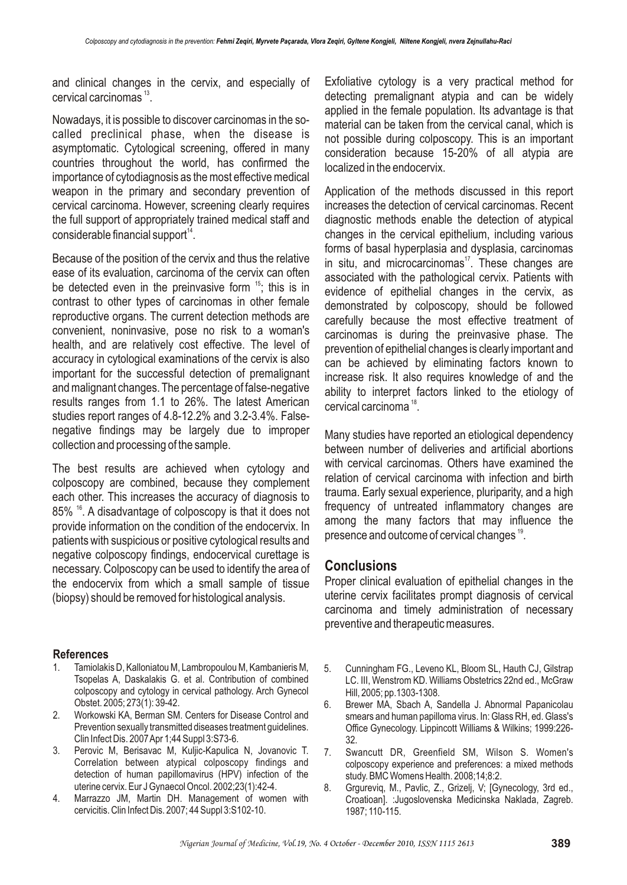and clinical changes in the cervix, and especially of cervical carcinomas  $13$ .

Nowadays, it is possible to discover carcinomas in the socalled preclinical phase, when the disease is asymptomatic. Cytological screening, offered in many countries throughout the world, has confirmed the importance of cytodiagnosis as the most effective medical weapon in the primary and secondary prevention of cervical carcinoma. However, screening clearly requires the full support of appropriately trained medical staff and considerable financial support $^{\prime 4}$ .

Because of the position of the cervix and thus the relative ease of its evaluation, carcinoma of the cervix can often be detected even in the preinvasive form  $15$ ; this is in contrast to other types of carcinomas in other female reproductive organs. The current detection methods are convenient, noninvasive, pose no risk to a woman's health, and are relatively cost effective. The level of accuracy in cytological examinations of the cervix is also important for the successful detection of premalignant and malignant changes. The percentage of false-negative results ranges from 1.1 to 26%. The latest American studies report ranges of 4.8-12.2% and 3.2-3.4%. Falsenegative findings may be largely due to improper collection and processing of the sample.

The best results are achieved when cytology and colposcopy are combined, because they complement each other. This increases the accuracy of diagnosis to 85% <sup>16</sup>. A disadvantage of colposcopy is that it does not provide information on the condition of the endocervix. In patients with suspicious or positive cytological results and negative colposcopy findings, endocervical curettage is necessary. Colposcopy can be used to identify the area of the endocervix from which a small sample of tissue (biopsy) should be removed for histological analysis.

#### **References**

- 1. Tamiolakis D, Kalloniatou M, Lambropoulou M, Kambanieris M, Tsopelas A, Daskalakis G. et al. Contribution of combined colposcopy and cytology in cervical pathology. Arch Gynecol Obstet. 2005; 273(1): 39-42.
- 2. Workowski KA, Berman SM. Centers for Disease Control and Prevention sexually transmitted diseases treatment guidelines. Clin Infect Dis. 2007 Apr 1;44 Suppl 3:S73-6.
- 3. Perovic M, Berisavac M, Kuljic-Kapulica N, Jovanovic T. Correlation between atypical colposcopy findings and detection of human papillomavirus (HPV) infection of the uterine cervix. Eur J Gynaecol Oncol. 2002;23(1):42-4.
- 4. Marrazzo JM, Martin DH. Management of women with cervicitis. Clin Infect Dis. 2007; 44 Suppl 3:S102-10.

Exfoliative cytology is a very practical method for detecting premalignant atypia and can be widely applied in the female population. Its advantage is that material can be taken from the cervical canal, which is not possible during colposcopy. This is an important consideration because 15-20% of all atypia are localized in the endocervix.

Application of the methods discussed in this report increases the detection of cervical carcinomas. Recent diagnostic methods enable the detection of atypical changes in the cervical epithelium, including various forms of basal hyperplasia and dysplasia, carcinomas in situ, and microcarcinomas<sup> $17$ </sup>. These changes are associated with the pathological cervix. Patients with evidence of epithelial changes in the cervix, as demonstrated by colposcopy, should be followed carefully because the most effective treatment of carcinomas is during the preinvasive phase. The prevention of epithelial changes is clearly important and can be achieved by eliminating factors known to increase risk. It also requires knowledge of and the ability to interpret factors linked to the etiology of cervical carcinoma $18$ .

Many studies have reported an etiological dependency between number of deliveries and artificial abortions with cervical carcinomas. Others have examined the relation of cervical carcinoma with infection and birth trauma. Early sexual experience, pluriparity, and a high frequency of untreated inflammatory changes are among the many factors that may influence the presence and outcome of cervical changes<sup>19</sup>.

## **Conclusions**

Proper clinical evaluation of epithelial changes in the uterine cervix facilitates prompt diagnosis of cervical carcinoma and timely administration of necessary preventive and therapeutic measures.

- 5. Cunningham FG., Leveno KL, Bloom SL, Hauth CJ, Gilstrap LC. III, Wenstrom KD. Williams Obstetrics 22nd ed., McGraw Hill, 2005; pp.1303-1308.
- 6. Brewer MA, Sbach A, Sandella J. Abnormal Papanicolau smears and human papilloma virus. In: Glass RH, ed. Glass's Office Gynecology. Lippincott Williams & Wilkins; 1999:226- 32.
- 7. Swancutt DR, Greenfield SM, Wilson S. Women's colposcopy experience and preferences: a mixed methods study. BMC Womens Health. 2008;14;8:2.
- 8. Grgureviq, M., Pavlic, Z., Grizelj, V; [Gynecology, 3rd ed., Croatioan]. :Jugoslovenska Medicinska Naklada, Zagreb. 1987; 110-115.